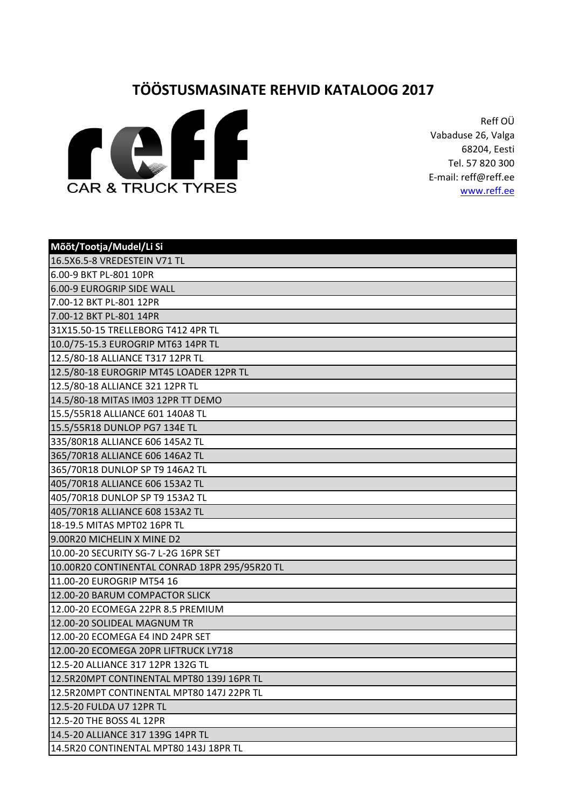## **TÖÖSTUSMASINATE REHVID KATALOOG 2017**



Reff OÜ Vabaduse 26, Valga 68204, Eesti Tel. 57 820 300 E-mail: reff@reff.ee [www.reff.ee](http://www.reff.ee/)

| Mõõt/Tootja/Mudel/Li Si                       |
|-----------------------------------------------|
| 16.5X6.5-8 VREDESTEIN V71 TL                  |
| 6.00-9 BKT PL-801 10PR                        |
| 6.00-9 EUROGRIP SIDE WALL                     |
| 7.00-12 BKT PL-801 12PR                       |
| 7.00-12 BKT PL-801 14PR                       |
| 31X15.50-15 TRELLEBORG T412 4PR TL            |
| 10.0/75-15.3 EUROGRIP MT63 14PR TL            |
| 12.5/80-18 ALLIANCE T317 12PR TL              |
| 12.5/80-18 EUROGRIP MT45 LOADER 12PR TL       |
| 12.5/80-18 ALLIANCE 321 12PR TL               |
| 14.5/80-18 MITAS IM03 12PR TT DEMO            |
| 15.5/55R18 ALLIANCE 601 140A8 TL              |
| 15.5/55R18 DUNLOP PG7 134E TL                 |
| 335/80R18 ALLIANCE 606 145A2 TL               |
| 365/70R18 ALLIANCE 606 146A2 TL               |
| 365/70R18 DUNLOP SP T9 146A2 TL               |
| 405/70R18 ALLIANCE 606 153A2 TL               |
| 405/70R18 DUNLOP SP T9 153A2 TL               |
| 405/70R18 ALLIANCE 608 153A2 TL               |
| 18-19.5 MITAS MPT02 16PR TL                   |
| 9.00R20 MICHELIN X MINE D2                    |
| 10.00-20 SECURITY SG-7 L-2G 16PR SET          |
| 10.00R20 CONTINENTAL CONRAD 18PR 295/95R20 TL |
| 11.00-20 EUROGRIP MT54 16                     |
| 12.00-20 BARUM COMPACTOR SLICK                |
| 12.00-20 ECOMEGA 22PR 8.5 PREMIUM             |
| 12.00-20 SOLIDEAL MAGNUM TR                   |
| 12.00-20 ECOMEGA E4 IND 24PR SET              |
| 12.00-20 ECOMEGA 20PR LIFTRUCK LY718          |
| 12.5-20 ALLIANCE 317 12PR 132G TL             |
| 12.5R20MPT CONTINENTAL MPT80 139J 16PR TL     |
| 12.5R20MPT CONTINENTAL MPT80 147J 22PR TL     |
| 12.5-20 FULDA U7 12PR TL                      |
| 12.5-20 THE BOSS 4L 12PR                      |
| 14.5-20 ALLIANCE 317 139G 14PR TL             |
| 14.5R20 CONTINENTAL MPT80 143J 18PR TL        |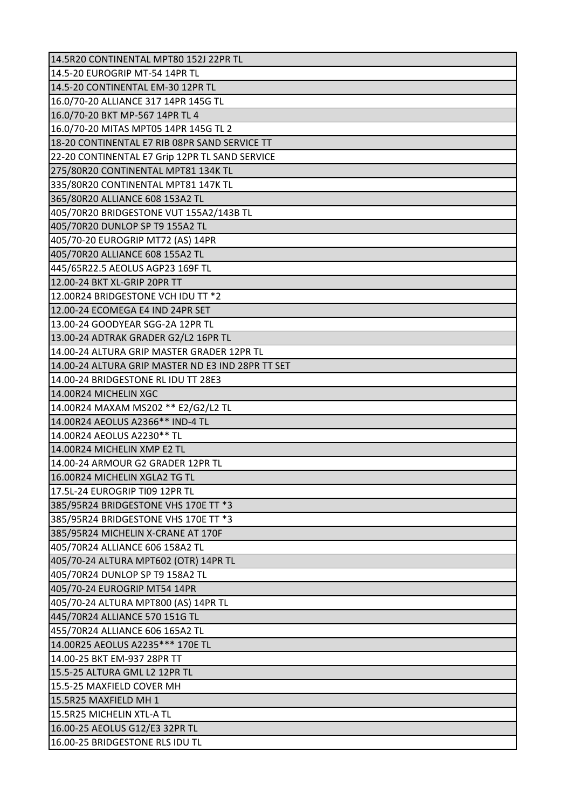| 14.5R20 CONTINENTAL MPT80 152J 22PR TL            |
|---------------------------------------------------|
| 14.5-20 EUROGRIP MT-54 14PR TL                    |
| 14.5-20 CONTINENTAL EM-30 12PR TL                 |
| 16.0/70-20 ALLIANCE 317 14PR 145G TL              |
| 16.0/70-20 BKT MP-567 14PR TL 4                   |
| 16.0/70-20 MITAS MPT05 14PR 145G TL 2             |
| 18-20 CONTINENTAL E7 RIB 08PR SAND SERVICE TT     |
| 22-20 CONTINENTAL E7 Grip 12PR TL SAND SERVICE    |
| 275/80R20 CONTINENTAL MPT81 134K TL               |
| 335/80R20 CONTINENTAL MPT81 147K TL               |
| 365/80R20 ALLIANCE 608 153A2 TL                   |
| 405/70R20 BRIDGESTONE VUT 155A2/143B TL           |
| 405/70R20 DUNLOP SP T9 155A2 TL                   |
| 405/70-20 EUROGRIP MT72 (AS) 14PR                 |
| 405/70R20 ALLIANCE 608 155A2 TL                   |
| 445/65R22.5 AEOLUS AGP23 169F TL                  |
| 12.00-24 BKT XL-GRIP 20PR TT                      |
| 12.00R24 BRIDGESTONE VCH IDU TT *2                |
| 12.00-24 ECOMEGA E4 IND 24PR SET                  |
| 13.00-24 GOODYEAR SGG-2A 12PR TL                  |
| 13.00-24 ADTRAK GRADER G2/L2 16PR TL              |
| 14.00-24 ALTURA GRIP MASTER GRADER 12PR TL        |
| 14.00-24 ALTURA GRIP MASTER ND E3 IND 28PR TT SET |
| 14.00-24 BRIDGESTONE RL IDU TT 28E3               |
| 14.00R24 MICHELIN XGC                             |
| 14.00R24 MAXAM MS202 ** E2/G2/L2 TL               |
| 14.00R24 AEOLUS A2366** IND-4 TL                  |
| 14.00R24 AEOLUS A2230** TL                        |
| 14.00R24 MICHELIN XMP E2 TL                       |
| 14.00-24 ARMOUR G2 GRADER 12PR TL                 |
| 16.00R24 MICHELIN XGLA2 TG TL                     |
| 17.5L-24 EUROGRIP TI09 12PR TL                    |
| 385/95R24 BRIDGESTONE VHS 170E TT *3              |
| 385/95R24 BRIDGESTONE VHS 170E TT *3              |
| 385/95R24 MICHELIN X-CRANE AT 170F                |
| 405/70R24 ALLIANCE 606 158A2 TL                   |
| 405/70-24 ALTURA MPT602 (OTR) 14PR TL             |
| 405/70R24 DUNLOP SP T9 158A2 TL                   |
| 405/70-24 EUROGRIP MT54 14PR                      |
| 405/70-24 ALTURA MPT800 (AS) 14PR TL              |
| 445/70R24 ALLIANCE 570 151G TL                    |
| 455/70R24 ALLIANCE 606 165A2 TL                   |
| 14.00R25 AEOLUS A2235 *** 170E TL                 |
| 14.00-25 BKT EM-937 28PR TT                       |
| 15.5-25 ALTURA GML L2 12PR TL                     |
| 15.5-25 MAXFIELD COVER MH                         |
| 15.5R25 MAXFIELD MH 1                             |
| 15.5R25 MICHELIN XTL-A TL                         |
| 16.00-25 AEOLUS G12/E3 32PR TL                    |
| 16.00-25 BRIDGESTONE RLS IDU TL                   |
|                                                   |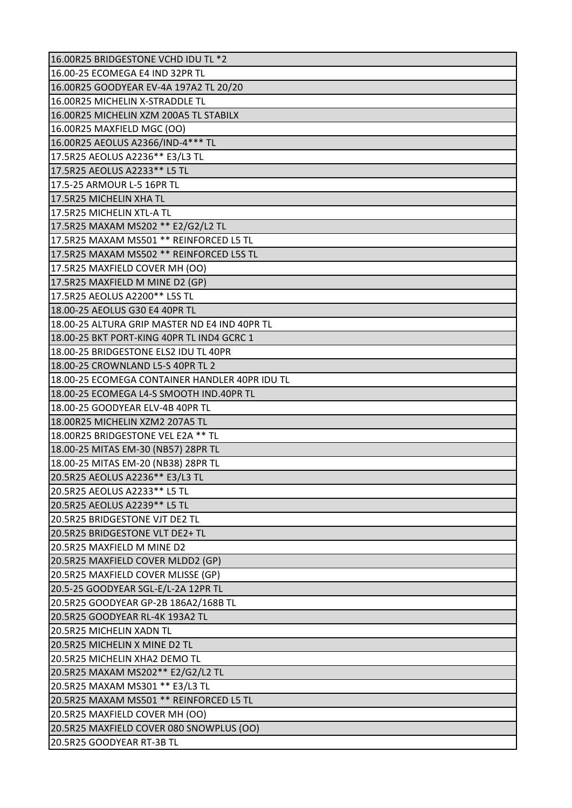| 16.00R25 BRIDGESTONE VCHD IDU TL *2            |
|------------------------------------------------|
| 16.00-25 ECOMEGA E4 IND 32PR TL                |
| 16.00R25 GOODYEAR EV-4A 197A2 TL 20/20         |
| 16.00R25 MICHELIN X-STRADDLE TL                |
| 16.00R25 MICHELIN XZM 200A5 TL STABILX         |
| 16.00R25 MAXFIELD MGC (OO)                     |
| 16.00R25 AEOLUS A2366/IND-4 *** TL             |
| 17.5R25 AEOLUS A2236 ** E3/L3 TL               |
| 17.5R25 AEOLUS A2233** L5 TL                   |
| 17.5-25 ARMOUR L-5 16PR TL                     |
| 17.5R25 MICHELIN XHA TL                        |
| 17.5R25 MICHELIN XTL-A TL                      |
| 17.5R25 MAXAM MS202 ** E2/G2/L2 TL             |
| 17.5R25 MAXAM MS501 ** REINFORCED L5 TL        |
| 17.5R25 MAXAM MS502 ** REINFORCED L5S TL       |
| 17.5R25 MAXFIELD COVER MH (OO)                 |
| 17.5R25 MAXFIELD M MINE D2 (GP)                |
| 17.5R25 AEOLUS A2200** L5S TL                  |
| 18.00-25 AEOLUS G30 E4 40PR TL                 |
| 18.00-25 ALTURA GRIP MASTER ND E4 IND 40PR TL  |
| 18.00-25 BKT PORT-KING 40PR TL IND4 GCRC 1     |
| 18.00-25 BRIDGESTONE ELS2 IDU TL 40PR          |
| 18.00-25 CROWNLAND L5-S 40PR TL 2              |
| 18.00-25 ECOMEGA CONTAINER HANDLER 40PR IDU TL |
| 18.00-25 ECOMEGA L4-S SMOOTH IND.40PR TL       |
| 18.00-25 GOODYEAR ELV-4B 40PR TL               |
| 18.00R25 MICHELIN XZM2 207A5 TL                |
| 18.00R25 BRIDGESTONE VEL E2A ** TL             |
| 18.00-25 MITAS EM-30 (NB57) 28PR TL            |
| 18.00-25 MITAS EM-20 (NB38) 28PR TL            |
| 20.5R25 AEOLUS A2236 ** E3/L3 TL               |
| 20.5R25 AEOLUS A2233** L5 TL                   |
| 20.5R25 AEOLUS A2239 ** L5 TL                  |
| 20.5R25 BRIDGESTONE VJT DE2 TL                 |
| 20.5R25 BRIDGESTONE VLT DE2+ TL                |
| 20.5R25 MAXFIELD M MINE D2                     |
| 20.5R25 MAXFIELD COVER MLDD2 (GP)              |
| 20.5R25 MAXFIELD COVER MLISSE (GP)             |
| 20.5-25 GOODYEAR SGL-E/L-2A 12PR TL            |
| 20.5R25 GOODYEAR GP-2B 186A2/168B TL           |
| 20.5R25 GOODYEAR RL-4K 193A2 TL                |
| 20.5R25 MICHELIN XADN TL                       |
| 20.5R25 MICHELIN X MINE D2 TL                  |
| 20.5R25 MICHELIN XHA2 DEMO TL                  |
| 20.5R25 MAXAM MS202** E2/G2/L2 TL              |
| 20.5R25 MAXAM MS301 ** E3/L3 TL                |
| 20.5R25 MAXAM MS501 ** REINFORCED L5 TL        |
| 20.5R25 MAXFIELD COVER MH (OO)                 |
| 20.5R25 MAXFIELD COVER 080 SNOWPLUS (OO)       |
| 20.5R25 GOODYEAR RT-3B TL                      |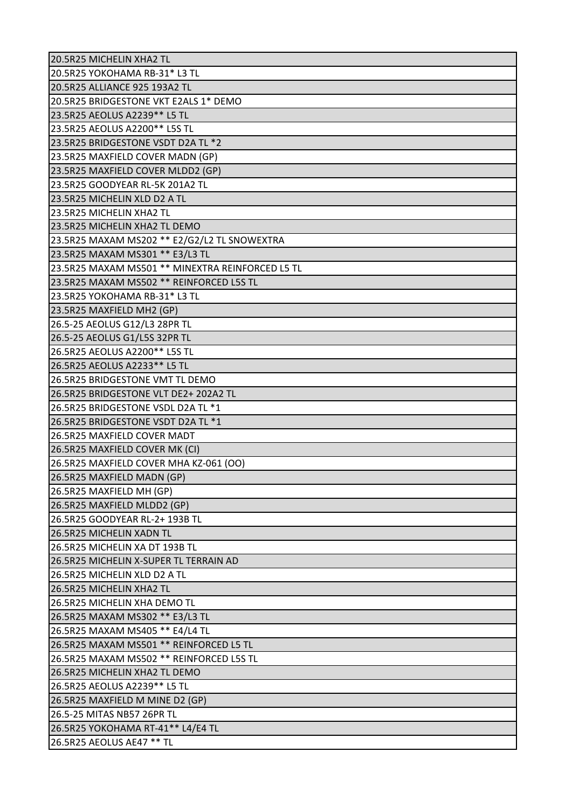| 20.5R25 MICHELIN XHA2 TL                         |  |
|--------------------------------------------------|--|
| 20.5R25 YOKOHAMA RB-31* L3 TL                    |  |
| 20.5R25 ALLIANCE 925 193A2 TL                    |  |
| 20.5R25 BRIDGESTONE VKT E2ALS 1* DEMO            |  |
| 23.5R25 AEOLUS A2239** L5 TL                     |  |
| 23.5R25 AEOLUS A2200** L5S TL                    |  |
| 23.5R25 BRIDGESTONE VSDT D2A TL *2               |  |
| 23.5R25 MAXFIELD COVER MADN (GP)                 |  |
| 23.5R25 MAXFIELD COVER MLDD2 (GP)                |  |
| 23.5R25 GOODYEAR RL-5K 201A2 TL                  |  |
| 23.5R25 MICHELIN XLD D2 A TL                     |  |
| 23.5R25 MICHELIN XHA2 TL                         |  |
| 23.5R25 MICHELIN XHA2 TL DEMO                    |  |
| 23.5R25 MAXAM MS202 ** E2/G2/L2 TL SNOWEXTRA     |  |
| 23.5R25 MAXAM MS301 ** E3/L3 TL                  |  |
| 23.5R25 MAXAM MS501 ** MINEXTRA REINFORCED L5 TL |  |
| 23.5R25 MAXAM MS502 ** REINFORCED L5S TL         |  |
| 23.5R25 YOKOHAMA RB-31* L3 TL                    |  |
| 23.5R25 MAXFIELD MH2 (GP)                        |  |
| 26.5-25 AEOLUS G12/L3 28PR TL                    |  |
| 26.5-25 AEOLUS G1/L5S 32PR TL                    |  |
| 26.5R25 AEOLUS A2200** L5S TL                    |  |
| 26.5R25 AEOLUS A2233 ** L5 TL                    |  |
| 26.5R25 BRIDGESTONE VMT TL DEMO                  |  |
| 26.5R25 BRIDGESTONE VLT DE2+ 202A2 TL            |  |
| 26.5R25 BRIDGESTONE VSDL D2A TL *1               |  |
| 26.5R25 BRIDGESTONE VSDT D2A TL *1               |  |
| 26.5R25 MAXFIELD COVER MADT                      |  |
| 26.5R25 MAXFIELD COVER MK (CI)                   |  |
| 26.5R25 MAXFIELD COVER MHA KZ-061 (OO)           |  |
| 26.5R25 MAXFIELD MADN (GP)                       |  |
| 26.5R25 MAXFIELD MH (GP)                         |  |
| 26.5R25 MAXFIELD MLDD2 (GP)                      |  |
| 26.5R25 GOODYEAR RL-2+ 193B TL                   |  |
| 26.5R25 MICHELIN XADN TL                         |  |
| 26.5R25 MICHELIN XA DT 193B TL                   |  |
| 26.5R25 MICHELIN X-SUPER TL TERRAIN AD           |  |
| 26.5R25 MICHELIN XLD D2 A TL                     |  |
| 26.5R25 MICHELIN XHA2 TL                         |  |
| 26.5R25 MICHELIN XHA DEMO TL                     |  |
| 26.5R25 MAXAM MS302 ** E3/L3 TL                  |  |
| 26.5R25 MAXAM MS405 ** E4/L4 TL                  |  |
| 26.5R25 MAXAM MS501 ** REINFORCED L5 TL          |  |
| 26.5R25 MAXAM MS502 ** REINFORCED L5S TL         |  |
| 26.5R25 MICHELIN XHA2 TL DEMO                    |  |
| 26.5R25 AEOLUS A2239** L5 TL                     |  |
| 26.5R25 MAXFIELD M MINE D2 (GP)                  |  |
| 26.5-25 MITAS NB57 26PR TL                       |  |
| 26.5R25 YOKOHAMA RT-41** L4/E4 TL                |  |
| 26.5R25 AEOLUS AE47 ** TL                        |  |
|                                                  |  |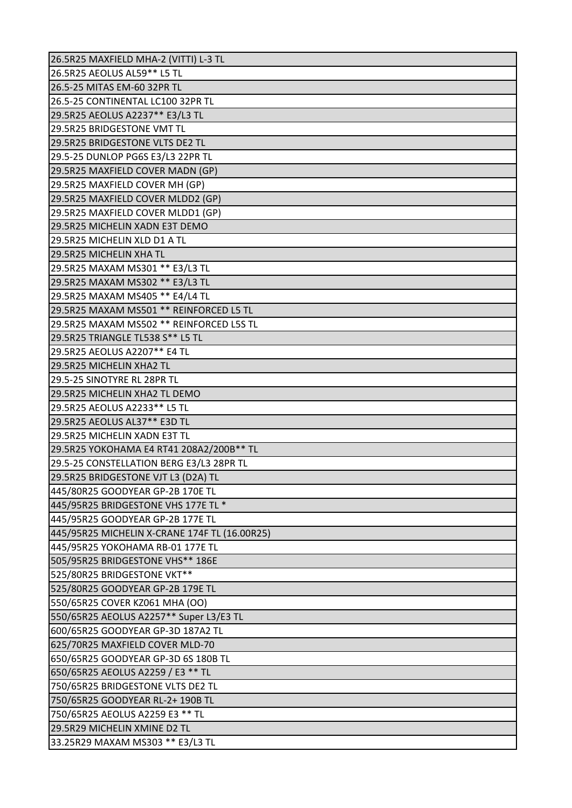| 26.5R25 MAXFIELD MHA-2 (VITTI) L-3 TL         |
|-----------------------------------------------|
| 26.5R25 AEOLUS AL59** L5 TL                   |
| 26.5-25 MITAS EM-60 32PR TL                   |
| 26.5-25 CONTINENTAL LC100 32PR TL             |
| 29.5R25 AEOLUS A2237** E3/L3 TL               |
| 29.5R25 BRIDGESTONE VMT TL                    |
| 29.5R25 BRIDGESTONE VLTS DE2 TL               |
| 29.5-25 DUNLOP PG6S E3/L3 22PR TL             |
| 29.5R25 MAXFIELD COVER MADN (GP)              |
| 29.5R25 MAXFIELD COVER MH (GP)                |
| 29.5R25 MAXFIELD COVER MLDD2 (GP)             |
| 29.5R25 MAXFIELD COVER MLDD1 (GP)             |
| 29.5R25 MICHELIN XADN E3T DEMO                |
| 29.5R25 MICHELIN XLD D1 A TL                  |
| 29.5R25 MICHELIN XHA TL                       |
| 29.5R25 MAXAM MS301 ** E3/L3 TL               |
| 29.5R25 MAXAM MS302 ** E3/L3 TL               |
| 29.5R25 MAXAM MS405 ** E4/L4 TL               |
| 29.5R25 MAXAM MS501 ** REINFORCED L5 TL       |
| 29.5R25 MAXAM MS502 ** REINFORCED L5S TL      |
| 29.5R25 TRIANGLE TL538 S** L5 TL              |
| 29.5R25 AEOLUS A2207** E4 TL                  |
| 29.5R25 MICHELIN XHA2 TL                      |
| 29.5-25 SINOTYRE RL 28PR TL                   |
| 29.5R25 MICHELIN XHA2 TL DEMO                 |
| 29.5R25 AEOLUS A2233** L5 TL                  |
| 29.5R25 AEOLUS AL37** E3D TL                  |
| 29.5R25 MICHELIN XADN E3T TL                  |
| 29.5R25 YOKOHAMA E4 RT41 208A2/200B** TL      |
| 29.5-25 CONSTELLATION BERG E3/L3 28PR TL      |
| 29.5R25 BRIDGESTONE VJT L3 (D2A) TL           |
| 445/80R25 GOODYEAR GP-2B 170E TL              |
| 445/95R25 BRIDGESTONE VHS 177E TL *           |
| 445/95R25 GOODYEAR GP-2B 177E TL              |
| 445/95R25 MICHELIN X-CRANE 174F TL (16.00R25) |
| 445/95R25 YOKOHAMA RB-01 177E TL              |
| 505/95R25 BRIDGESTONE VHS** 186E              |
| 525/80R25 BRIDGESTONE VKT**                   |
| 525/80R25 GOODYEAR GP-2B 179E TL              |
| 550/65R25 COVER KZ061 MHA (OO)                |
| 550/65R25 AEOLUS A2257** Super L3/E3 TL       |
| 600/65R25 GOODYEAR GP-3D 187A2 TL             |
| 625/70R25 MAXFIELD COVER MLD-70               |
| 650/65R25 GOODYEAR GP-3D 6S 180B TL           |
| 650/65R25 AEOLUS A2259 / E3 ** TL             |
| 750/65R25 BRIDGESTONE VLTS DE2 TL             |
|                                               |
| 750/65R25 GOODYEAR RL-2+ 190B TL              |
| 750/65R25 AEOLUS A2259 E3 ** TL               |
| 29.5R29 MICHELIN XMINE D2 TL                  |
| 33.25R29 MAXAM MS303 ** E3/L3 TL              |